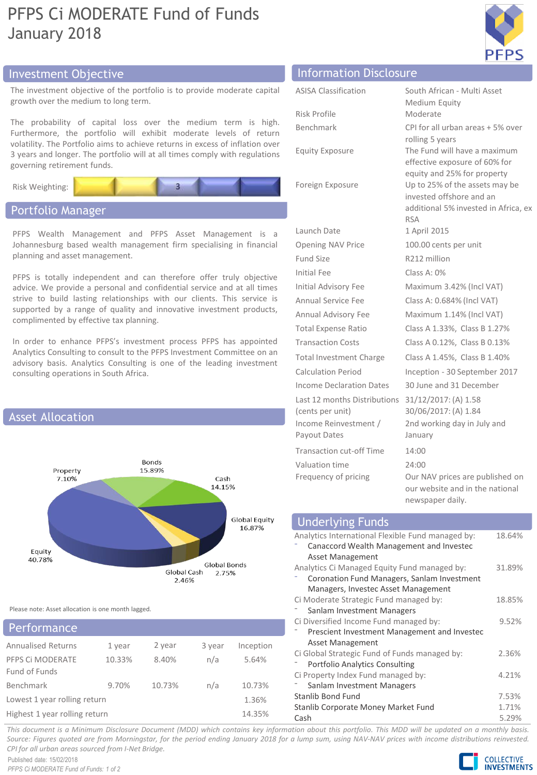## PFPS Ci MODERATE Fund of Funds January 2018



## Investment Objective Information Disclosure

The investment objective of the portfolio is to provide moderate growth over the medium to long term.

The probability of capital loss over the medium term is Furthermore, the portfolio will exhibit moderate levels of volatility. The Portfolio aims to achieve returns in excess of inflati 3 years and longer. The portfolio will at all times comply with reg governing retirement funds.

Risk Weighting:

## Portfolio Manager

PFPS Wealth Management and PFPS Asset Management Johannesburg based wealth management firm specialising in fi planning and asset management.

PFPS is totally independent and can therefore offer truly ob advice. We provide a personal and confidential service and at a strive to build lasting relationships with our clients. This ser supported by a range of quality and innovative investment pr complimented by effective tax planning.

In order to enhance PFPS's investment process PFPS has appoint Analytics Consulting to consult to the PFPS Investment Committe advisory basis. Analytics Consulting is one of the leading inve consulting operations in South Africa.



Please note: Asset allocation is one month lagged.

| Performance                       |        |        |        |           |  |
|-----------------------------------|--------|--------|--------|-----------|--|
| <b>Annualised Returns</b>         | 1 year | 2 year | 3 year | Inception |  |
| PFPS CI MODERATE<br>Fund of Funds | 10.33% | 8.40%  | n/a    | 5.64%     |  |
| Benchmark                         | 9.70%  | 10.73% | n/a    | 10.73%    |  |
| Lowest 1 year rolling return      |        |        |        | 1.36%     |  |
| Highest 1 year rolling return     | 14.35% |        |        |           |  |

|                                             | <u>IIII OI IIIQCIOII DISCLOSUI C</u> |                                                                                                                                                 |  |
|---------------------------------------------|--------------------------------------|-------------------------------------------------------------------------------------------------------------------------------------------------|--|
| capital                                     | <b>ASISA Classification</b>          | South African - Multi Asset<br>Medium Equity                                                                                                    |  |
| high.<br>S<br>return<br>on over<br>ulations | Risk Profile                         | Moderate                                                                                                                                        |  |
|                                             | Benchmark                            | CPI for all urban areas + 5% over<br>rolling 5 years                                                                                            |  |
|                                             | <b>Equity Exposure</b>               | The Fund will have a maximum<br>effective exposure of 60% for                                                                                   |  |
|                                             | Foreign Exposure                     | equity and 25% for property<br>Up to 25% of the assets may be<br>invested offshore and an<br>additional 5% invested in Africa, ex<br><b>RSA</b> |  |
| : is a                                      | Launch Date                          | 1 April 2015                                                                                                                                    |  |
| inancial                                    | Opening NAV Price                    | 100.00 cents per unit                                                                                                                           |  |
|                                             | Fund Size                            | R <sub>212</sub> million                                                                                                                        |  |
| pjective<br>Il times<br>rvice is<br>oducts, | Initial Fee                          | Class A: 0%                                                                                                                                     |  |
|                                             | Initial Advisory Fee                 | Maximum 3.42% (Incl VAT)                                                                                                                        |  |
|                                             | Annual Service Fee                   | Class A: 0.684% (Incl VAT)                                                                                                                      |  |
|                                             | Annual Advisory Fee                  | Maximum 1.14% (Incl VAT)                                                                                                                        |  |
|                                             | <b>Total Expense Ratio</b>           | Class A 1.33%, Class B 1.27%                                                                                                                    |  |
| pointed<br>e on an                          | <b>Transaction Costs</b>             | Class A 0.12%, Class B 0.13%                                                                                                                    |  |
|                                             | <b>Total Investment Charge</b>       | Class A 1.45%, Class B 1.40%                                                                                                                    |  |
| stment                                      |                                      |                                                                                                                                                 |  |

Calculation Period Inception - 30 September 2017 Income Declaration Dates 30 June and 31 December

January

⁻ Canaccord Wealth Management and Investec

⁻ Coronation Fund Managers, Sanlam Investment Managers, Investec Asset Management

⁻ Prescient Investment Management and Investec

Stanlib Bond Fund 7.53% Stanlib Corporate Money Market Fund 1.71% Cash 5.29%

Asset Management

Asset Management

Sanlam Investment Managers

⁻ Portfolio Analytics Consulting

Ci Property Index Fund managed by: Sanlam Investment Managers

Ci Diversified Income Fund managed by:

Ci Global Strategic Fund of Funds managed by:

30/06/2017: (A) 1.84

newspaper daily.

2nd working day in July and

our website and in the national

This document is a Minimum Disclosure Document (MDD) which contains key information about this portfolio. This MDD will be updated on a monthly basis. Source: Figures quoted are from Morningstar, for the period ending January 2018 for a lump sum, using NAV-NAV prices with income distributions reinvested. *CPI for all urban areas sourced from I-Net Bridge.*

Published date: 15/02/2018 *PFPS Ci MODERATE Fund of Funds: 1 of 2*



18.64%

31.89%

18.85%

9.52%

2.36%

4.21%